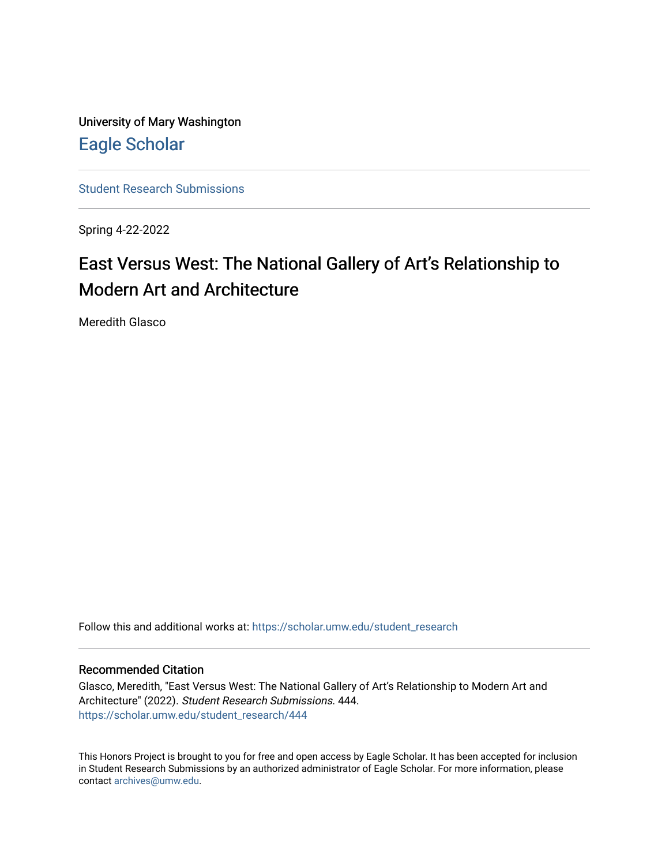University of Mary Washington [Eagle Scholar](https://scholar.umw.edu/) 

[Student Research Submissions](https://scholar.umw.edu/student_research) 

Spring 4-22-2022

# East Versus West: The National Gallery of Art's Relationship to Modern Art and Architecture

Meredith Glasco

Follow this and additional works at: [https://scholar.umw.edu/student\\_research](https://scholar.umw.edu/student_research?utm_source=scholar.umw.edu%2Fstudent_research%2F444&utm_medium=PDF&utm_campaign=PDFCoverPages)

#### Recommended Citation

Glasco, Meredith, "East Versus West: The National Gallery of Art's Relationship to Modern Art and Architecture" (2022). Student Research Submissions. 444. [https://scholar.umw.edu/student\\_research/444](https://scholar.umw.edu/student_research/444?utm_source=scholar.umw.edu%2Fstudent_research%2F444&utm_medium=PDF&utm_campaign=PDFCoverPages)

This Honors Project is brought to you for free and open access by Eagle Scholar. It has been accepted for inclusion in Student Research Submissions by an authorized administrator of Eagle Scholar. For more information, please contact [archives@umw.edu](mailto:archives@umw.edu).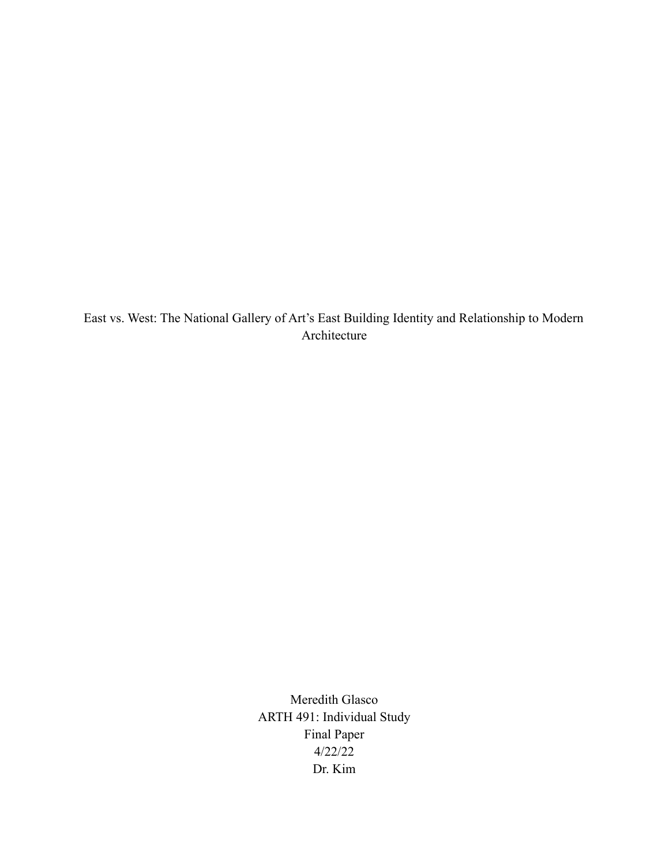East vs. West: The National Gallery of Art's East Building Identity and Relationship to Modern Architecture

> Meredith Glasco ARTH 491: Individual Study Final Paper 4/22/22 Dr. Kim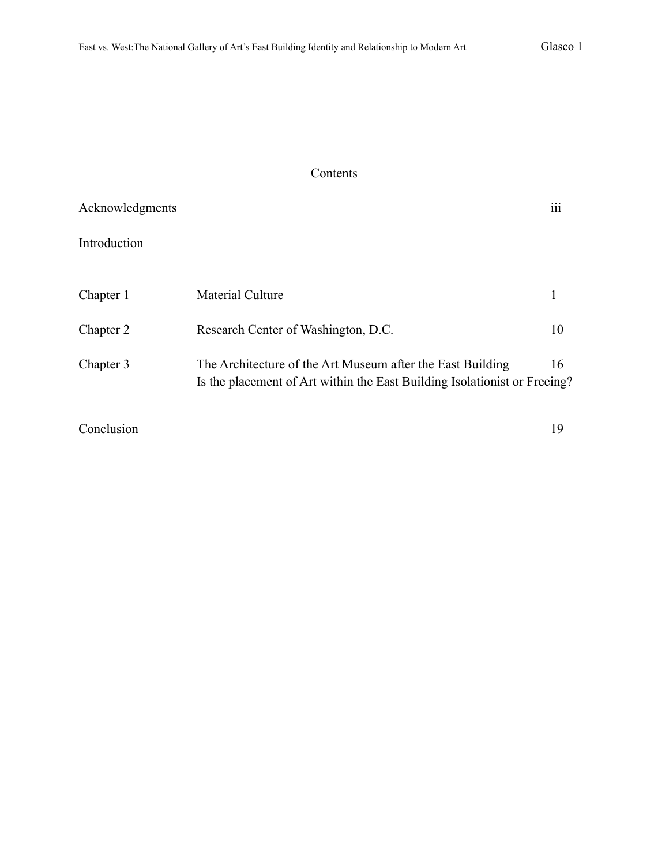### Contents

| Acknowledgments |                                                                                                                                         | $\ddotsc$<br>111 |
|-----------------|-----------------------------------------------------------------------------------------------------------------------------------------|------------------|
| Introduction    |                                                                                                                                         |                  |
| Chapter 1       | <b>Material Culture</b>                                                                                                                 |                  |
| Chapter 2       | Research Center of Washington, D.C.                                                                                                     | 10               |
| Chapter 3       | The Architecture of the Art Museum after the East Building<br>Is the placement of Art within the East Building Isolationist or Freeing? | 16               |
| Conclusion      |                                                                                                                                         | 19               |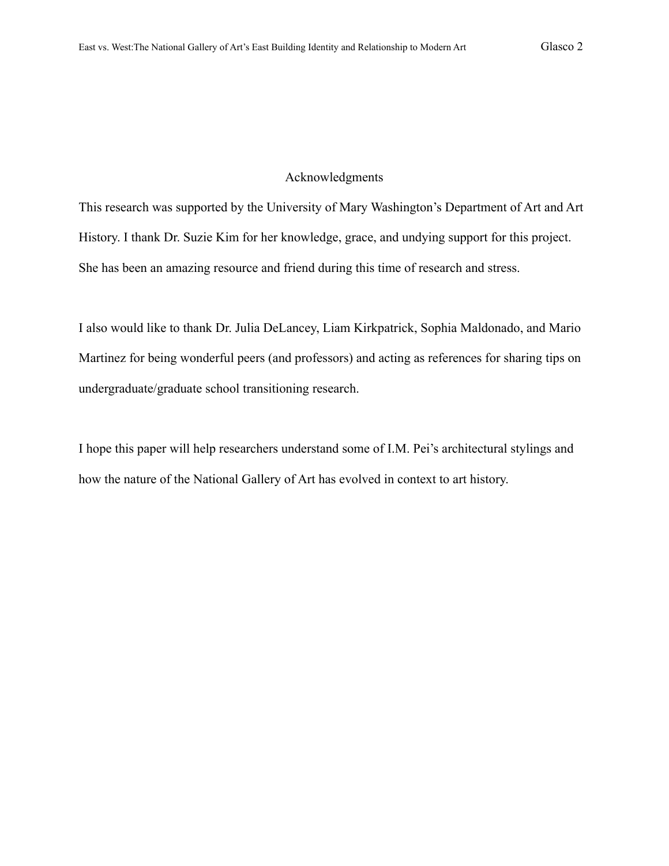#### Acknowledgments

This research was supported by the University of Mary Washington's Department of Art and Art History. I thank Dr. Suzie Kim for her knowledge, grace, and undying support for this project. She has been an amazing resource and friend during this time of research and stress.

I also would like to thank Dr. Julia DeLancey, Liam Kirkpatrick, Sophia Maldonado, and Mario Martinez for being wonderful peers (and professors) and acting as references for sharing tips on undergraduate/graduate school transitioning research.

I hope this paper will help researchers understand some of I.M. Pei's architectural stylings and how the nature of the National Gallery of Art has evolved in context to art history.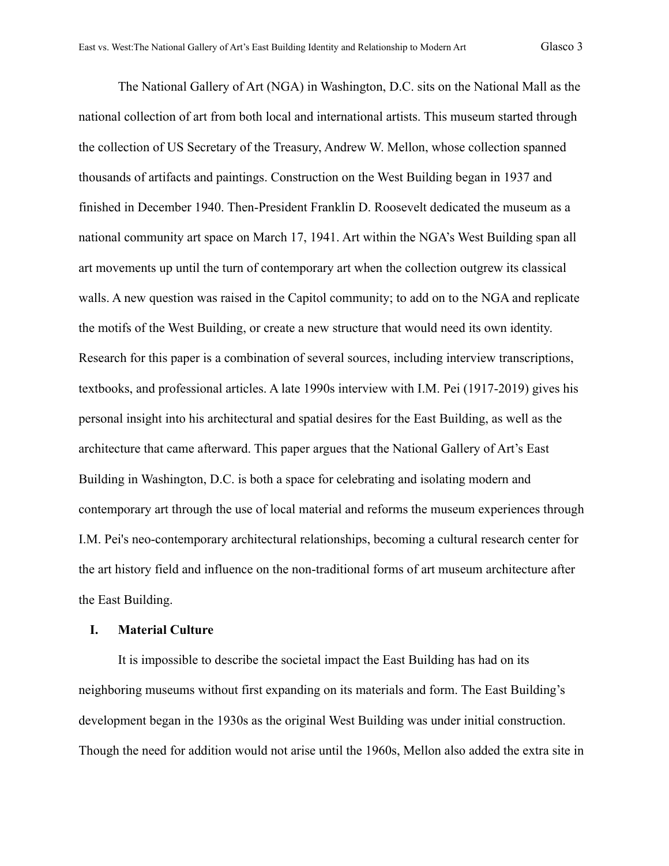The National Gallery of Art (NGA) in Washington, D.C. sits on the National Mall as the national collection of art from both local and international artists. This museum started through the collection of US Secretary of the Treasury, Andrew W. Mellon, whose collection spanned thousands of artifacts and paintings. Construction on the West Building began in 1937 and finished in December 1940. Then-President Franklin D. Roosevelt dedicated the museum as a national community art space on March 17, 1941. Art within the NGA's West Building span all art movements up until the turn of contemporary art when the collection outgrew its classical walls. A new question was raised in the Capitol community; to add on to the NGA and replicate the motifs of the West Building, or create a new structure that would need its own identity. Research for this paper is a combination of several sources, including interview transcriptions, textbooks, and professional articles. A late 1990s interview with I.M. Pei (1917-2019) gives his personal insight into his architectural and spatial desires for the East Building, as well as the architecture that came afterward. This paper argues that the National Gallery of Art's East Building in Washington, D.C. is both a space for celebrating and isolating modern and contemporary art through the use of local material and reforms the museum experiences through I.M. Pei's neo-contemporary architectural relationships, becoming a cultural research center for the art history field and influence on the non-traditional forms of art museum architecture after the East Building.

#### **I. Material Culture**

It is impossible to describe the societal impact the East Building has had on its neighboring museums without first expanding on its materials and form. The East Building's development began in the 1930s as the original West Building was under initial construction. Though the need for addition would not arise until the 1960s, Mellon also added the extra site in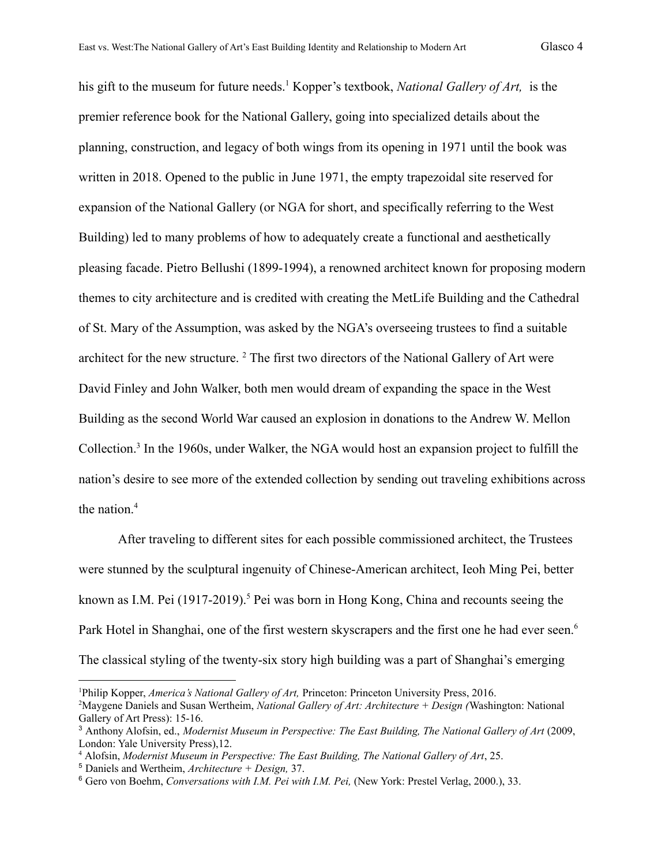his gift to the museum for future needs.<sup>1</sup> Kopper's textbook, *National Gallery of Art*, is the premier reference book for the National Gallery, going into specialized details about the planning, construction, and legacy of both wings from its opening in 1971 until the book was written in 2018. Opened to the public in June 1971, the empty trapezoidal site reserved for expansion of the National Gallery (or NGA for short, and specifically referring to the West Building) led to many problems of how to adequately create a functional and aesthetically pleasing facade. Pietro Bellushi (1899-1994), a renowned architect known for proposing modern themes to city architecture and is credited with creating the MetLife Building and the Cathedral of St. Mary of the Assumption, was asked by the NGA's overseeing trustees to find a suitable architect for the new structure.<sup>2</sup> The first two directors of the National Gallery of Art were David Finley and John Walker, both men would dream of expanding the space in the West Building as the second World War caused an explosion in donations to the Andrew W. Mellon Collection.<sup>3</sup> In the 1960s, under Walker, the NGA would host an expansion project to fulfill the nation's desire to see more of the extended collection by sending out traveling exhibitions across the nation.<sup>4</sup>

After traveling to different sites for each possible commissioned architect, the Trustees were stunned by the sculptural ingenuity of Chinese-American architect, Ieoh Ming Pei, better known as I.M. Pei  $(1917-2019)$ .<sup>5</sup> Pei was born in Hong Kong, China and recounts seeing the Park Hotel in Shanghai, one of the first western skyscrapers and the first one he had ever seen.<sup>6</sup> The classical styling of the twenty-six story high building was a part of Shanghai's emerging

<sup>1</sup>Philip Kopper, *America's National Gallery of Art,* Princeton: Princeton University Press, 2016.

<sup>2</sup>Maygene Daniels and Susan Wertheim, *National Gallery of Art: Architecture + Design (*Washington: National Gallery of Art Press): 15-16.

<sup>3</sup> Anthony Alofsin, ed., *Modernist Museum in Perspective: The East Building, The National Gallery of Art* (2009, London: Yale University Press),12.

<sup>4</sup> Alofsin, *Modernist Museum in Perspective: The East Building, The National Gallery of Art*, 25.

<sup>5</sup> Daniels and Wertheim, *Architecture + Design,* 37.

<sup>6</sup> Gero von Boehm, *Conversations with I.M. Pei with I.M. Pei,* (New York: Prestel Verlag, 2000.), 33.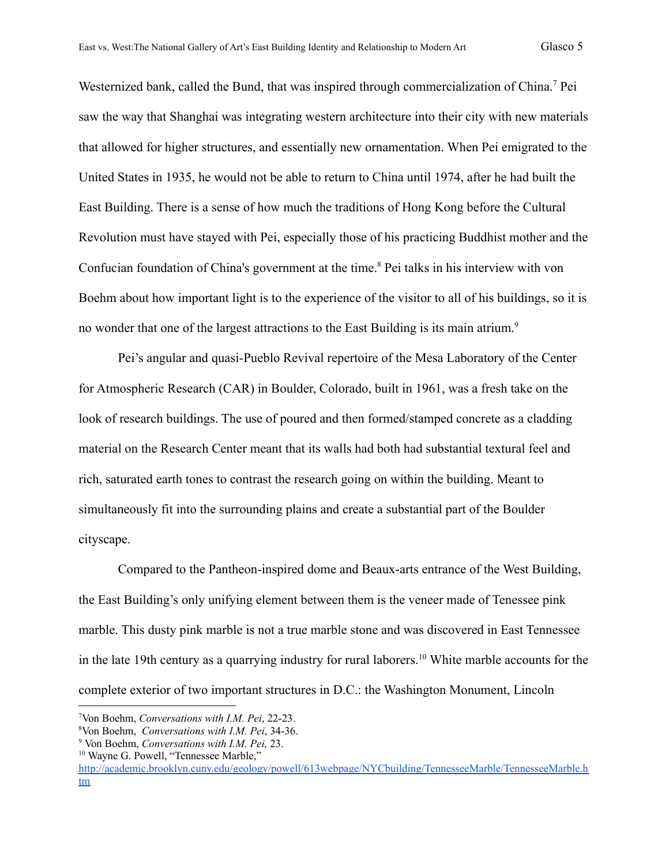Westernized bank, called the Bund, that was inspired through commercialization of China.<sup>7</sup> Pei saw the way that Shanghai was integrating western architecture into their city with new materials that allowed for higher structures, and essentially new ornamentation. When Pei emigrated to the United States in 1935, he would not be able to return to China until 1974, after he had built the East Building. There is a sense of how much the traditions of Hong Kong before the Cultural Revolution must have stayed with Pei, especially those of his practicing Buddhist mother and the Confucian foundation of China's government at the time.<sup>8</sup> Pei talks in his interview with von Boehm about how important light is to the experience of the visitor to all of his buildings, so it is no wonder that one of the largest attractions to the East Building is its main atrium.<sup>9</sup>

Pei's angular and quasi-Pueblo Revival repertoire of the Mesa Laboratory of the Center for Atmospheric Research (CAR) in Boulder, Colorado, built in 1961, was a fresh take on the look of research buildings. The use of poured and then formed/stamped concrete as a cladding material on the Research Center meant that its walls had both had substantial textural feel and rich, saturated earth tones to contrast the research going on within the building. Meant to simultaneously fit into the surrounding plains and create a substantial part of the Boulder cityscape.

Compared to the Pantheon-inspired dome and Beaux-arts entrance of the West Building, the East Building's only unifying element between them is the veneer made of Tenessee pink marble. This dusty pink marble is not a true marble stone and was discovered in East Tennessee in the late 19th century as a quarrying industry for rural laborers.<sup>10</sup> White marble accounts for the complete exterior of two important structures in D.C.: the Washington Monument, Lincoln

<sup>7</sup>Von Boehm, *Conversations with I.M. Pei*, 22-23.

<sup>8</sup>Von Boehm, *Conversations with I.M. Pei*, 34-36.

<sup>9</sup> Von Boehm, *Conversations with I.M. Pei,* 23.

<sup>&</sup>lt;sup>10</sup> Wayne G. Powell, "Tennessee Marble,"

[http://academic.brooklyn.cuny.edu/geology/powell/613webpage/NYCbuilding/TennesseeMarble/TennesseeMarble.h](http://academic.brooklyn.cuny.edu/geology/powell/613webpage/NYCbuilding/TennesseeMarble/TennesseeMarble.htm) [tm](http://academic.brooklyn.cuny.edu/geology/powell/613webpage/NYCbuilding/TennesseeMarble/TennesseeMarble.htm)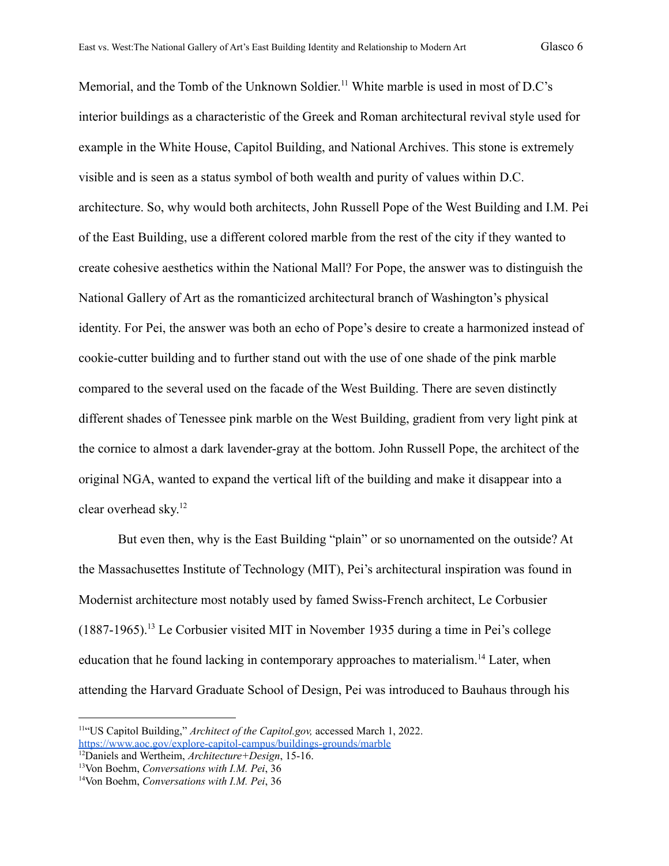Memorial, and the Tomb of the Unknown Soldier. <sup>11</sup> White marble is used in most of D.C's interior buildings as a characteristic of the Greek and Roman architectural revival style used for example in the White House, Capitol Building, and National Archives. This stone is extremely visible and is seen as a status symbol of both wealth and purity of values within D.C. architecture. So, why would both architects, John Russell Pope of the West Building and I.M. Pei of the East Building, use a different colored marble from the rest of the city if they wanted to create cohesive aesthetics within the National Mall? For Pope, the answer was to distinguish the National Gallery of Art as the romanticized architectural branch of Washington's physical identity. For Pei, the answer was both an echo of Pope's desire to create a harmonized instead of cookie-cutter building and to further stand out with the use of one shade of the pink marble compared to the several used on the facade of the West Building. There are seven distinctly different shades of Tenessee pink marble on the West Building, gradient from very light pink at the cornice to almost a dark lavender-gray at the bottom. John Russell Pope, the architect of the original NGA, wanted to expand the vertical lift of the building and make it disappear into a clear overhead sky. 12

But even then, why is the East Building "plain" or so unornamented on the outside? At the Massachusettes Institute of Technology (MIT), Pei's architectural inspiration was found in Modernist architecture most notably used by famed Swiss-French architect, Le Corbusier  $(1887-1965)$ .<sup>13</sup> Le Corbusier visited MIT in November 1935 during a time in Pei's college education that he found lacking in contemporary approaches to materialism.<sup>14</sup> Later, when attending the Harvard Graduate School of Design, Pei was introduced to Bauhaus through his

<sup>11</sup>"US Capitol Building," *Architect of the Capitol.gov,* accessed March 1, 2022. <https://www.aoc.gov/explore-capitol-campus/buildings-grounds/marble>

<sup>12</sup>Daniels and Wertheim, *Architecture+Design*, 15-16.

<sup>13</sup>Von Boehm, *Conversations with I.M. Pei*, 36

<sup>14</sup>Von Boehm, *Conversations with I.M. Pei*, 36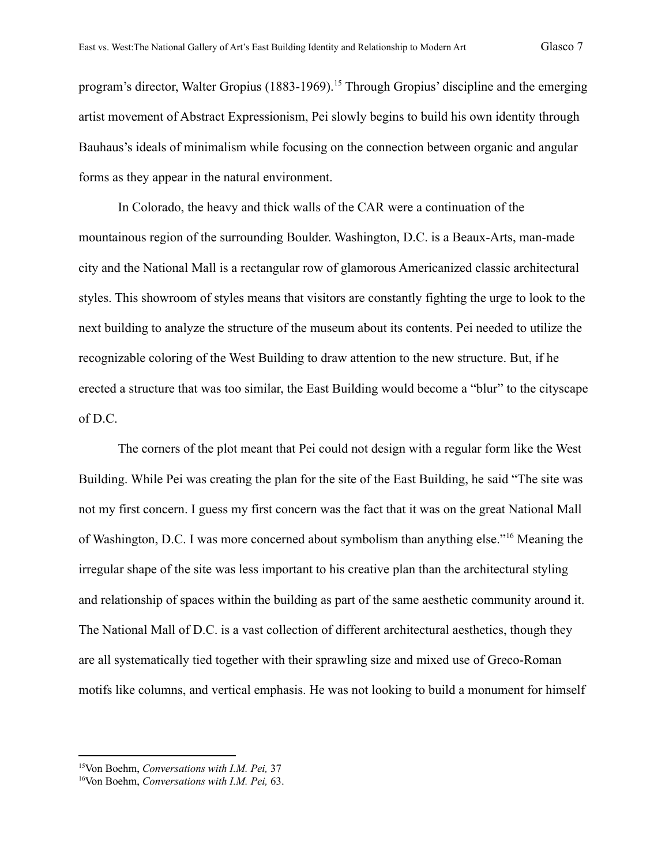program's director, Walter Gropius (1883-1969).<sup>15</sup> Through Gropius' discipline and the emerging artist movement of Abstract Expressionism, Pei slowly begins to build his own identity through Bauhaus's ideals of minimalism while focusing on the connection between organic and angular forms as they appear in the natural environment.

In Colorado, the heavy and thick walls of the CAR were a continuation of the mountainous region of the surrounding Boulder. Washington, D.C. is a Beaux-Arts, man-made city and the National Mall is a rectangular row of glamorous Americanized classic architectural styles. This showroom of styles means that visitors are constantly fighting the urge to look to the next building to analyze the structure of the museum about its contents. Pei needed to utilize the recognizable coloring of the West Building to draw attention to the new structure. But, if he erected a structure that was too similar, the East Building would become a "blur" to the cityscape of D.C.

The corners of the plot meant that Pei could not design with a regular form like the West Building. While Pei was creating the plan for the site of the East Building, he said "The site was not my first concern. I guess my first concern was the fact that it was on the great National Mall of Washington, D.C. I was more concerned about symbolism than anything else."<sup>16</sup> Meaning the irregular shape of the site was less important to his creative plan than the architectural styling and relationship of spaces within the building as part of the same aesthetic community around it. The National Mall of D.C. is a vast collection of different architectural aesthetics, though they are all systematically tied together with their sprawling size and mixed use of Greco-Roman motifs like columns, and vertical emphasis. He was not looking to build a monument for himself

<sup>15</sup>Von Boehm, *Conversations with I.M. Pei,* 37

<sup>16</sup>Von Boehm, *Conversations with I.M. Pei,* 63.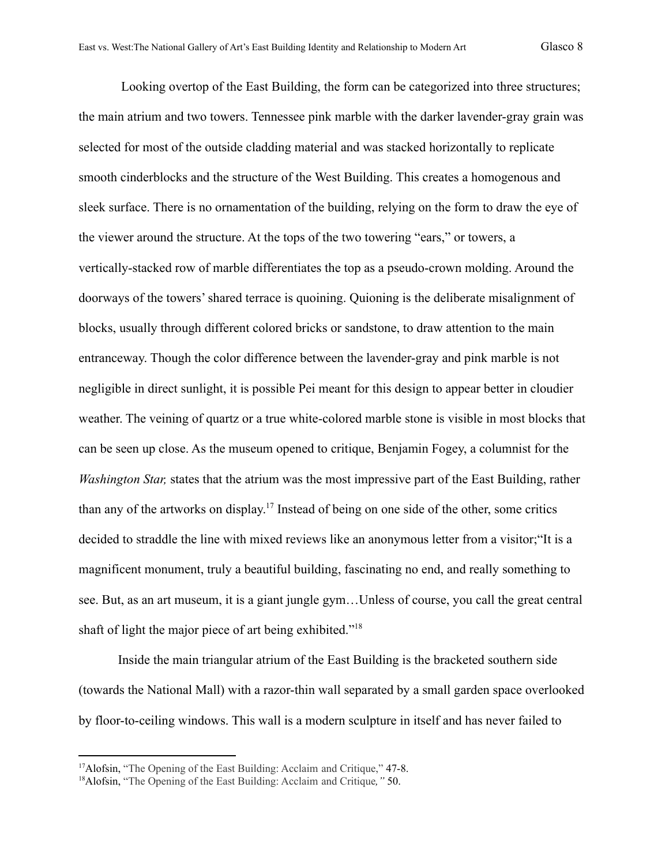Looking overtop of the East Building, the form can be categorized into three structures; the main atrium and two towers. Tennessee pink marble with the darker lavender-gray grain was selected for most of the outside cladding material and was stacked horizontally to replicate smooth cinderblocks and the structure of the West Building. This creates a homogenous and sleek surface. There is no ornamentation of the building, relying on the form to draw the eye of the viewer around the structure. At the tops of the two towering "ears," or towers, a vertically-stacked row of marble differentiates the top as a pseudo-crown molding. Around the doorways of the towers' shared terrace is quoining. Quioning is the deliberate misalignment of blocks, usually through different colored bricks or sandstone, to draw attention to the main entranceway. Though the color difference between the lavender-gray and pink marble is not negligible in direct sunlight, it is possible Pei meant for this design to appear better in cloudier weather. The veining of quartz or a true white-colored marble stone is visible in most blocks that can be seen up close. As the museum opened to critique, Benjamin Fogey, a columnist for the *Washington Star,* states that the atrium was the most impressive part of the East Building, rather than any of the artworks on display. 17 Instead of being on one side of the other, some critics decided to straddle the line with mixed reviews like an anonymous letter from a visitor;"It is a magnificent monument, truly a beautiful building, fascinating no end, and really something to see. But, as an art museum, it is a giant jungle gym…Unless of course, you call the great central shaft of light the major piece of art being exhibited."<sup>18</sup>

Inside the main triangular atrium of the East Building is the bracketed southern side (towards the National Mall) with a razor-thin wall separated by a small garden space overlooked by floor-to-ceiling windows. This wall is a modern sculpture in itself and has never failed to

<sup>&</sup>lt;sup>17</sup>Alofsin, "The Opening of the East Building: Acclaim and Critique," 47-8.

<sup>18</sup>Alofsin, "The Opening of the East Building: Acclaim and Critique*,"* 50.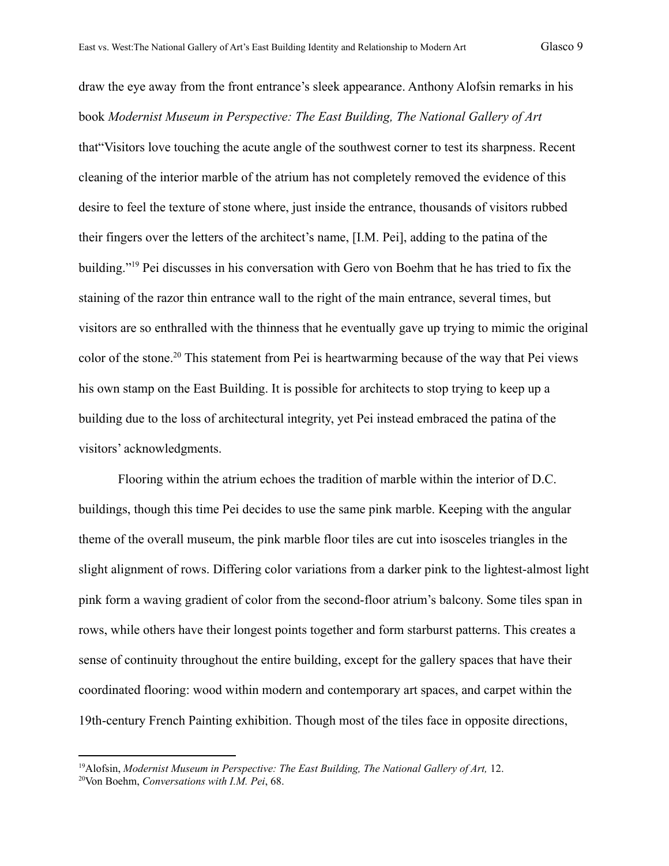draw the eye away from the front entrance's sleek appearance. Anthony Alofsin remarks in his book *Modernist Museum in Perspective: The East Building, The National Gallery of Art* that"Visitors love touching the acute angle of the southwest corner to test its sharpness. Recent cleaning of the interior marble of the atrium has not completely removed the evidence of this desire to feel the texture of stone where, just inside the entrance, thousands of visitors rubbed their fingers over the letters of the architect's name, [I.M. Pei], adding to the patina of the building."<sup>19</sup> Pei discusses in his conversation with Gero von Boehm that he has tried to fix the staining of the razor thin entrance wall to the right of the main entrance, several times, but visitors are so enthralled with the thinness that he eventually gave up trying to mimic the original color of the stone.<sup>20</sup> This statement from Pei is heartwarming because of the way that Pei views his own stamp on the East Building. It is possible for architects to stop trying to keep up a building due to the loss of architectural integrity, yet Pei instead embraced the patina of the visitors' acknowledgments.

Flooring within the atrium echoes the tradition of marble within the interior of D.C. buildings, though this time Pei decides to use the same pink marble. Keeping with the angular theme of the overall museum, the pink marble floor tiles are cut into isosceles triangles in the slight alignment of rows. Differing color variations from a darker pink to the lightest-almost light pink form a waving gradient of color from the second-floor atrium's balcony. Some tiles span in rows, while others have their longest points together and form starburst patterns. This creates a sense of continuity throughout the entire building, except for the gallery spaces that have their coordinated flooring: wood within modern and contemporary art spaces, and carpet within the 19th-century French Painting exhibition. Though most of the tiles face in opposite directions,

<sup>19</sup>Alofsin, *Modernist Museum in Perspective: The East Building, The National Gallery of Art,* 12.

<sup>20</sup>Von Boehm, *Conversations with I.M. Pei*, 68.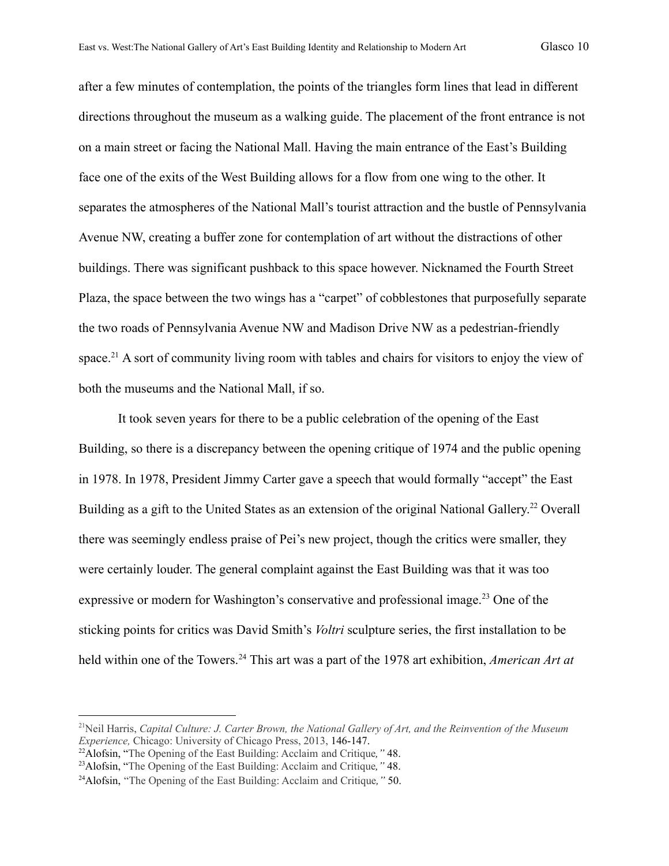after a few minutes of contemplation, the points of the triangles form lines that lead in different directions throughout the museum as a walking guide. The placement of the front entrance is not on a main street or facing the National Mall. Having the main entrance of the East's Building face one of the exits of the West Building allows for a flow from one wing to the other. It separates the atmospheres of the National Mall's tourist attraction and the bustle of Pennsylvania Avenue NW, creating a buffer zone for contemplation of art without the distractions of other

buildings. There was significant pushback to this space however. Nicknamed the Fourth Street Plaza, the space between the two wings has a "carpet" of cobblestones that purposefully separate the two roads of Pennsylvania Avenue NW and Madison Drive NW as a pedestrian-friendly space.<sup>21</sup> A sort of community living room with tables and chairs for visitors to enjoy the view of both the museums and the National Mall, if so.

It took seven years for there to be a public celebration of the opening of the East Building, so there is a discrepancy between the opening critique of 1974 and the public opening in 1978. In 1978, President Jimmy Carter gave a speech that would formally "accept" the East Building as a gift to the United States as an extension of the original National Gallery.<sup>22</sup> Overall there was seemingly endless praise of Pei's new project, though the critics were smaller, they were certainly louder. The general complaint against the East Building was that it was too expressive or modern for Washington's conservative and professional image.<sup>23</sup> One of the sticking points for critics was David Smith's *Voltri* sculpture series, the first installation to be held within one of the Towers.<sup>24</sup> This art was a part of the 1978 art exhibition, *American Art at* 

<sup>21</sup>Neil Harris, *Capital Culture: J. Carter Brown, the National Gallery of Art, and the Reinvention of the Museum Experience,* Chicago: University of Chicago Press, 2013, 146-147.

<sup>22</sup>Alofsin, "The Opening of the East Building: Acclaim and Critique*,"* 48.

<sup>23</sup>Alofsin, "The Opening of the East Building: Acclaim and Critique*,"* 48.

<sup>24</sup>Alofsin, "The Opening of the East Building: Acclaim and Critique*,"* 50.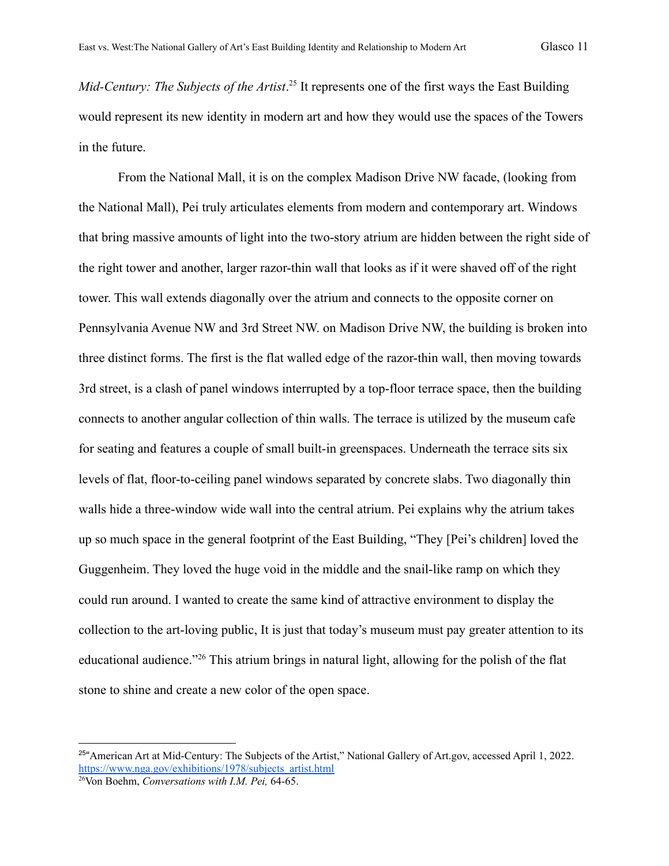Mid-Century: The Subjects of the Artist.<sup>25</sup> It represents one of the first ways the East Building would represent its new identity in modern art and how they would use the spaces of the Towers in the future.

From the National Mall, it is on the complex Madison Drive NW facade, (looking from the National Mall), Pei truly articulates elements from modern and contemporary art. Windows that bring massive amounts of light into the two-story atrium are hidden between the right side of the right tower and another, larger razor-thin wall that looks as if it were shaved off of the right tower. This wall extends diagonally over the atrium and connects to the opposite corner on Pennsylvania Avenue NW and 3rd Street NW. on Madison Drive NW, the building is broken into three distinct forms. The first is the flat walled edge of the razor-thin wall, then moving towards 3rd street, is a clash of panel windows interrupted by a top-floor terrace space, then the building connects to another angular collection of thin walls. The terrace is utilized by the museum cafe for seating and features a couple of small built-in greenspaces. Underneath the terrace sits six levels of flat, floor-to-ceiling panel windows separated by concrete slabs. Two diagonally thin walls hide a three-window wide wall into the central atrium. Pei explains why the atrium takes up so much space in the general footprint of the East Building, "They [Pei's children] loved the Guggenheim. They loved the huge void in the middle and the snail-like ramp on which they could run around. I wanted to create the same kind of attractive environment to display the collection to the art-loving public, It is just that today's museum must pay greater attention to its educational audience."<sup>26</sup> This atrium brings in natural light, allowing for the polish of the flat stone to shine and create a new color of the open space.

<sup>&</sup>lt;sup>25"</sup> American Art at Mid-Century: The Subjects of the Artist," National Gallery of Art.gov, accessed April 1, 2022. [https://www.nga.gov/exhibitions/1978/subjects\\_artist.html](https://www.nga.gov/exhibitions/1978/subjects_artist.html)

<sup>26</sup>Von Boehm, *Conversations with I.M. Pei,* 64-65.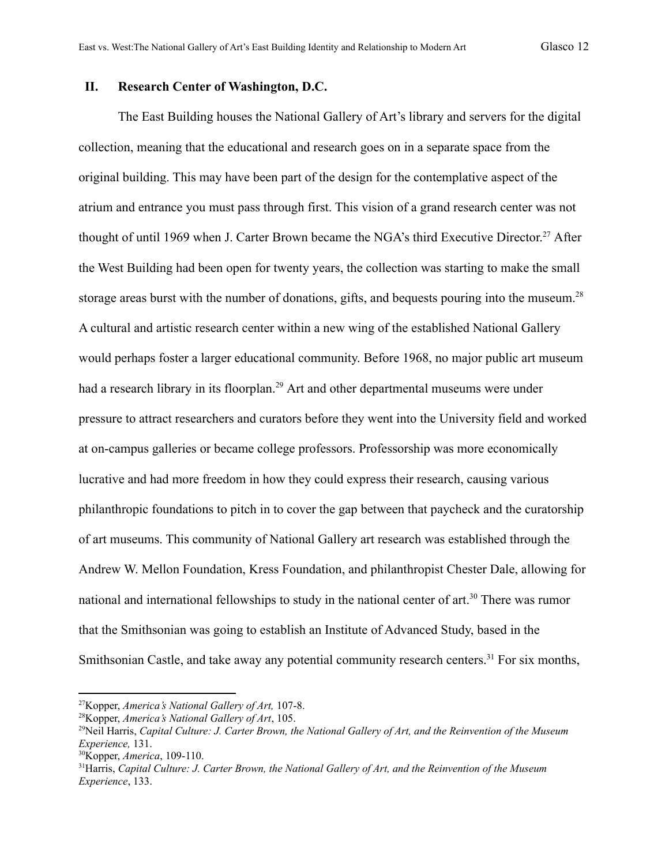#### **II. Research Center of Washington, D.C.**

The East Building houses the National Gallery of Art's library and servers for the digital collection, meaning that the educational and research goes on in a separate space from the original building. This may have been part of the design for the contemplative aspect of the atrium and entrance you must pass through first. This vision of a grand research center was not thought of until 1969 when J. Carter Brown became the NGA's third Executive Director. <sup>27</sup> After the West Building had been open for twenty years, the collection was starting to make the small storage areas burst with the number of donations, gifts, and bequests pouring into the museum.<sup>28</sup> A cultural and artistic research center within a new wing of the established National Gallery would perhaps foster a larger educational community. Before 1968, no major public art museum had a research library in its floorplan.<sup>29</sup> Art and other departmental museums were under pressure to attract researchers and curators before they went into the University field and worked at on-campus galleries or became college professors. Professorship was more economically lucrative and had more freedom in how they could express their research, causing various philanthropic foundations to pitch in to cover the gap between that paycheck and the curatorship of art museums. This community of National Gallery art research was established through the Andrew W. Mellon Foundation, Kress Foundation, and philanthropist Chester Dale, allowing for national and international fellowships to study in the national center of art.<sup>30</sup> There was rumor that the Smithsonian was going to establish an Institute of Advanced Study, based in the Smithsonian Castle, and take away any potential community research centers.<sup>31</sup> For six months,

<sup>27</sup>Kopper, *America's National Gallery of Art,* 107-8.

<sup>28</sup>Kopper, *America's National Gallery of Art*, 105.

<sup>29</sup>Neil Harris, *Capital Culture: J. Carter Brown, the National Gallery of Art, and the Reinvention of the Museum Experience,* 131.

<sup>30</sup>Kopper, *America*, 109-110.

<sup>31</sup>Harris, *Capital Culture: J. Carter Brown, the National Gallery of Art, and the Reinvention of the Museum Experience*, 133.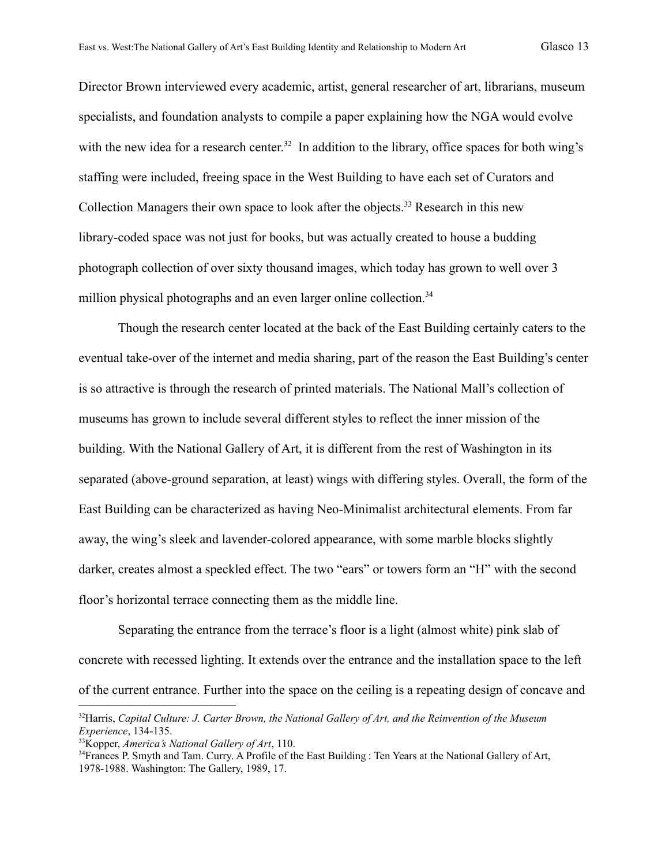Director Brown interviewed every academic, artist, general researcher of art, librarians, museum specialists, and foundation analysts to compile a paper explaining how the NGA would evolve with the new idea for a research center.<sup>32</sup> In addition to the library, office spaces for both wing's staffing were included, freeing space in the West Building to have each set of Curators and Collection Managers their own space to look after the objects.<sup>33</sup> Research in this new library-coded space was not just for books, but was actually created to house a budding photograph collection of over sixty thousand images, which today has grown to well over 3 million physical photographs and an even larger online collection.<sup>34</sup>

Though the research center located at the back of the East Building certainly caters to the eventual take-over of the internet and media sharing, part of the reason the East Building's center is so attractive is through the research of printed materials. The National Mall's collection of museums has grown to include several different styles to reflect the inner mission of the building. With the National Gallery of Art, it is different from the rest of Washington in its separated (above-ground separation, at least) wings with differing styles. Overall, the form of the East Building can be characterized as having Neo-Minimalist architectural elements. From far away, the wing's sleek and lavender-colored appearance, with some marble blocks slightly darker, creates almost a speckled effect. The two "ears" or towers form an "H" with the second floor's horizontal terrace connecting them as the middle line.

Separating the entrance from the terrace's floor is a light (almost white) pink slab of concrete with recessed lighting. It extends over the entrance and the installation space to the left of the current entrance. Further into the space on the ceiling is a repeating design of concave and

<sup>32</sup>Harris, *Capital Culture: J. Carter Brown, the National Gallery of Art, and the Reinvention of the Museum Experience*, 134-135.

<sup>33</sup>Kopper, *America's National Gallery of Art*, 110.

<sup>&</sup>lt;sup>34</sup>Frances P. Smyth and Tam. Curry. A Profile of the East Building : Ten Years at the National Gallery of Art, 1978-1988. Washington: The Gallery, 1989, 17.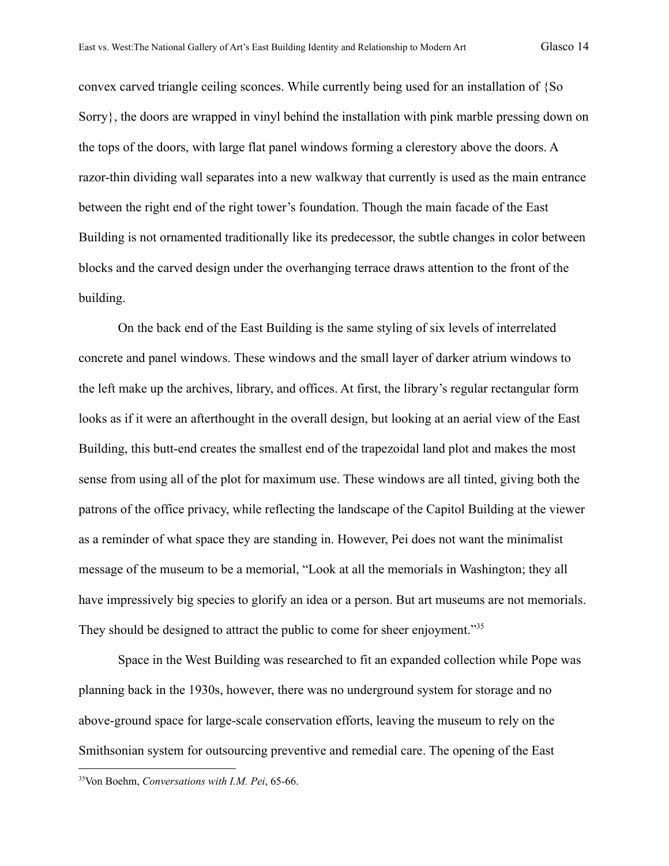convex carved triangle ceiling sconces. While currently being used for an installation of {So Sorry}, the doors are wrapped in vinyl behind the installation with pink marble pressing down on the tops of the doors, with large flat panel windows forming a clerestory above the doors. A razor-thin dividing wall separates into a new walkway that currently is used as the main entrance between the right end of the right tower's foundation. Though the main facade of the East Building is not ornamented traditionally like its predecessor, the subtle changes in color between blocks and the carved design under the overhanging terrace draws attention to the front of the building.

On the back end of the East Building is the same styling of six levels of interrelated concrete and panel windows. These windows and the small layer of darker atrium windows to the left make up the archives, library, and offices. At first, the library's regular rectangular form looks as if it were an afterthought in the overall design, but looking at an aerial view of the East Building, this butt-end creates the smallest end of the trapezoidal land plot and makes the most sense from using all of the plot for maximum use. These windows are all tinted, giving both the patrons of the office privacy, while reflecting the landscape of the Capitol Building at the viewer as a reminder of what space they are standing in. However, Pei does not want the minimalist message of the museum to be a memorial, "Look at all the memorials in Washington; they all have impressively big species to glorify an idea or a person. But art museums are not memorials. They should be designed to attract the public to come for sheer enjoyment."<sup>35</sup>

Space in the West Building was researched to fit an expanded collection while Pope was planning back in the 1930s, however, there was no underground system for storage and no above-ground space for large-scale conservation efforts, leaving the museum to rely on the Smithsonian system for outsourcing preventive and remedial care. The opening of the East

<sup>35</sup>Von Boehm, *Conversations with I.M. Pei*, 65-66.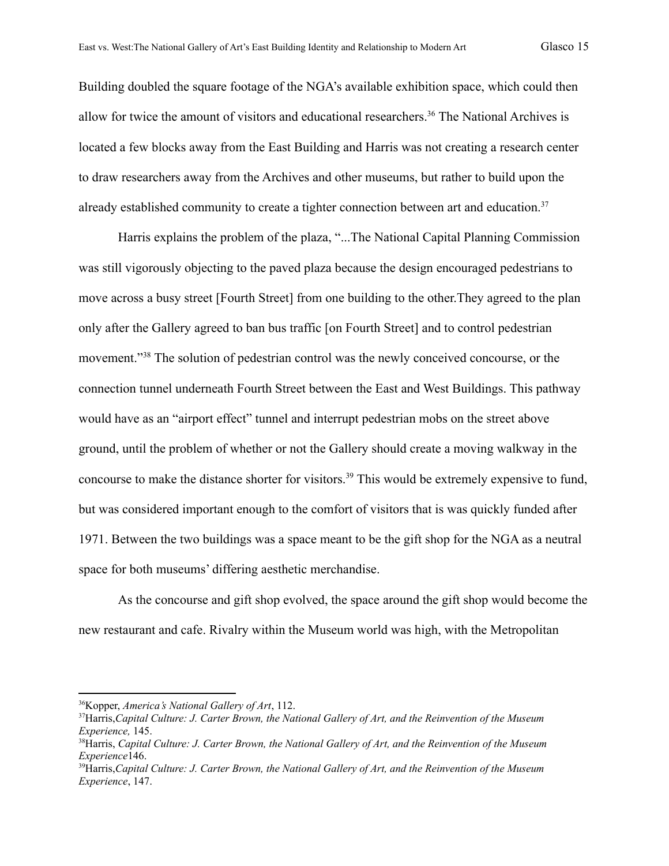Building doubled the square footage of the NGA's available exhibition space, which could then allow for twice the amount of visitors and educational researchers.<sup>36</sup> The National Archives is located a few blocks away from the East Building and Harris was not creating a research center to draw researchers away from the Archives and other museums, but rather to build upon the already established community to create a tighter connection between art and education.<sup>37</sup>

Harris explains the problem of the plaza, "...The National Capital Planning Commission was still vigorously objecting to the paved plaza because the design encouraged pedestrians to move across a busy street [Fourth Street] from one building to the other.They agreed to the plan only after the Gallery agreed to ban bus traffic [on Fourth Street] and to control pedestrian movement."<sup>38</sup> The solution of pedestrian control was the newly conceived concourse, or the connection tunnel underneath Fourth Street between the East and West Buildings. This pathway would have as an "airport effect" tunnel and interrupt pedestrian mobs on the street above ground, until the problem of whether or not the Gallery should create a moving walkway in the concourse to make the distance shorter for visitors.<sup>39</sup> This would be extremely expensive to fund, but was considered important enough to the comfort of visitors that is was quickly funded after 1971. Between the two buildings was a space meant to be the gift shop for the NGA as a neutral space for both museums' differing aesthetic merchandise.

As the concourse and gift shop evolved, the space around the gift shop would become the new restaurant and cafe. Rivalry within the Museum world was high, with the Metropolitan

<sup>36</sup>Kopper, *America's National Gallery of Art*, 112.

<sup>37</sup>Harris,*Capital Culture: J. Carter Brown, the National Gallery of Art, and the Reinvention of the Museum Experience,* 145.

<sup>38</sup>Harris, *Capital Culture: J. Carter Brown, the National Gallery of Art, and the Reinvention of the Museum Experience*146.

<sup>39</sup>Harris,*Capital Culture: J. Carter Brown, the National Gallery of Art, and the Reinvention of the Museum Experience*, 147.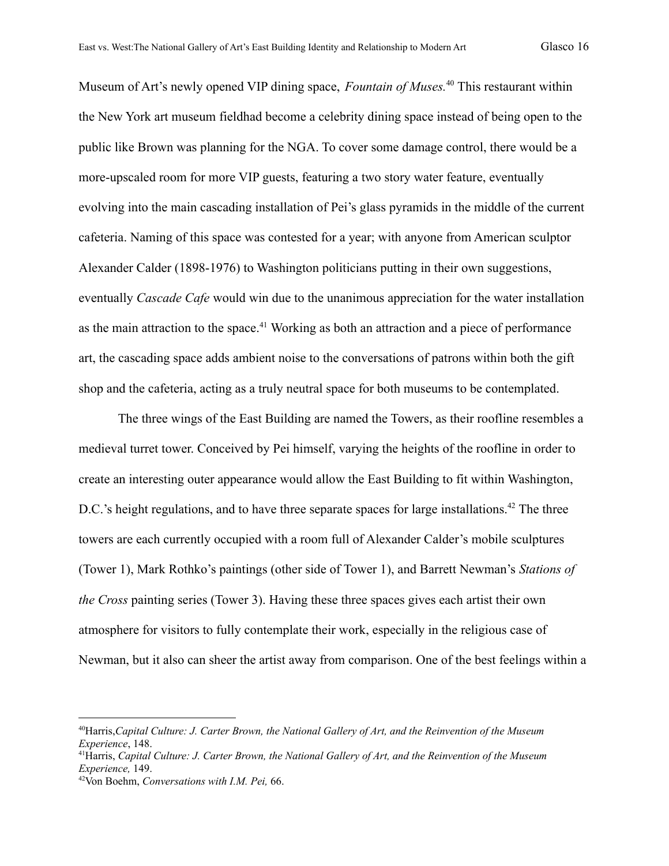Museum of Art's newly opened VIP dining space, *Fountain of Muses.*<sup>40</sup> This restaurant within the New York art museum fieldhad become a celebrity dining space instead of being open to the public like Brown was planning for the NGA. To cover some damage control, there would be a more-upscaled room for more VIP guests, featuring a two story water feature, eventually evolving into the main cascading installation of Pei's glass pyramids in the middle of the current cafeteria. Naming of this space was contested for a year; with anyone from American sculptor Alexander Calder (1898-1976) to Washington politicians putting in their own suggestions, eventually *Cascade Cafe* would win due to the unanimous appreciation for the water installation as the main attraction to the space.<sup>41</sup> Working as both an attraction and a piece of performance art, the cascading space adds ambient noise to the conversations of patrons within both the gift shop and the cafeteria, acting as a truly neutral space for both museums to be contemplated.

The three wings of the East Building are named the Towers, as their roofline resembles a medieval turret tower. Conceived by Pei himself, varying the heights of the roofline in order to create an interesting outer appearance would allow the East Building to fit within Washington, D.C.'s height regulations, and to have three separate spaces for large installations.<sup>42</sup> The three towers are each currently occupied with a room full of Alexander Calder's mobile sculptures (Tower 1), Mark Rothko's paintings (other side of Tower 1), and Barrett Newman's *Stations of the Cross* painting series (Tower 3). Having these three spaces gives each artist their own atmosphere for visitors to fully contemplate their work, especially in the religious case of Newman, but it also can sheer the artist away from comparison. One of the best feelings within a

<sup>40</sup>Harris,*Capital Culture: J. Carter Brown, the National Gallery of Art, and the Reinvention of the Museum Experience*, 148.

<sup>41</sup>Harris, *Capital Culture: J. Carter Brown, the National Gallery of Art, and the Reinvention of the Museum Experience,* 149.

<sup>42</sup>Von Boehm, *Conversations with I.M. Pei,* 66.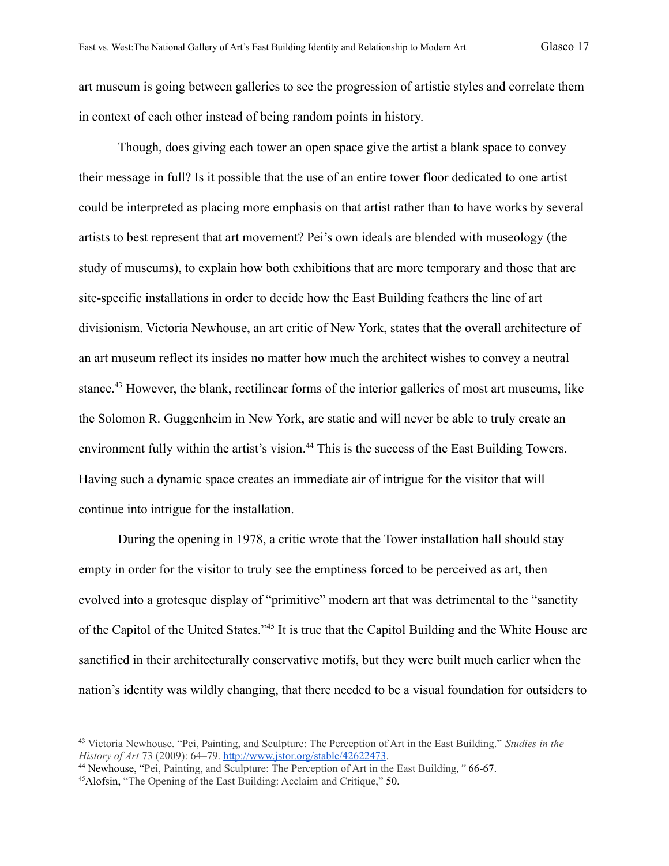art museum is going between galleries to see the progression of artistic styles and correlate them in context of each other instead of being random points in history.

Though, does giving each tower an open space give the artist a blank space to convey their message in full? Is it possible that the use of an entire tower floor dedicated to one artist could be interpreted as placing more emphasis on that artist rather than to have works by several artists to best represent that art movement? Pei's own ideals are blended with museology (the study of museums), to explain how both exhibitions that are more temporary and those that are site-specific installations in order to decide how the East Building feathers the line of art divisionism. Victoria Newhouse, an art critic of New York, states that the overall architecture of an art museum reflect its insides no matter how much the architect wishes to convey a neutral stance.<sup>43</sup> However, the blank, rectilinear forms of the interior galleries of most art museums, like the Solomon R. Guggenheim in New York, are static and will never be able to truly create an environment fully within the artist's vision.<sup>44</sup> This is the success of the East Building Towers. Having such a dynamic space creates an immediate air of intrigue for the visitor that will continue into intrigue for the installation.

During the opening in 1978, a critic wrote that the Tower installation hall should stay empty in order for the visitor to truly see the emptiness forced to be perceived as art, then evolved into a grotesque display of "primitive" modern art that was detrimental to the "sanctity of the Capitol of the United States."<sup>45</sup> It is true that the Capitol Building and the White House are sanctified in their architecturally conservative motifs, but they were built much earlier when the nation's identity was wildly changing, that there needed to be a visual foundation for outsiders to

<sup>43</sup> Victoria Newhouse. "Pei, Painting, and Sculpture: The Perception of Art in the East Building." *Studies in the History of Art* 73 (2009): 64–79. [http://www.jstor.org/stable/42622473.](http://www.jstor.org/stable/42622473)

<sup>44</sup> Newhouse, "Pei, Painting, and Sculpture: The Perception of Art in the East Building*,"* 66-67.

<sup>45</sup>Alofsin, "The Opening of the East Building: Acclaim and Critique," 50.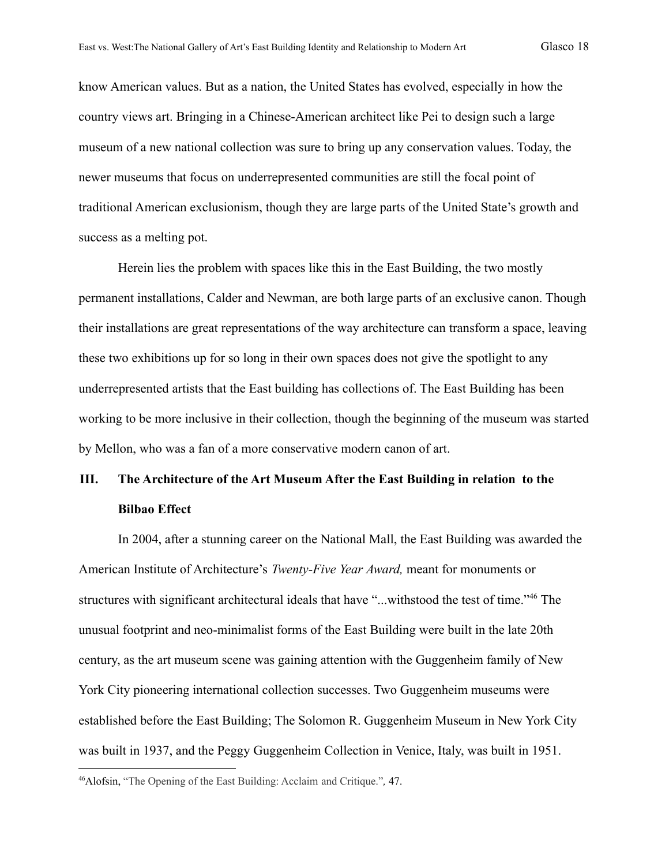know American values. But as a nation, the United States has evolved, especially in how the country views art. Bringing in a Chinese-American architect like Pei to design such a large museum of a new national collection was sure to bring up any conservation values. Today, the newer museums that focus on underrepresented communities are still the focal point of traditional American exclusionism, though they are large parts of the United State's growth and success as a melting pot.

Herein lies the problem with spaces like this in the East Building, the two mostly permanent installations, Calder and Newman, are both large parts of an exclusive canon. Though their installations are great representations of the way architecture can transform a space, leaving these two exhibitions up for so long in their own spaces does not give the spotlight to any underrepresented artists that the East building has collections of. The East Building has been working to be more inclusive in their collection, though the beginning of the museum was started by Mellon, who was a fan of a more conservative modern canon of art.

## **III. The Architecture of the Art Museum After the East Building in relation to the Bilbao Effect**

In 2004, after a stunning career on the National Mall, the East Building was awarded the American Institute of Architecture's *Twenty-Five Year Award,* meant for monuments or structures with significant architectural ideals that have "...withstood the test of time."<sup>46</sup> The unusual footprint and neo-minimalist forms of the East Building were built in the late 20th century, as the art museum scene was gaining attention with the Guggenheim family of New York City pioneering international collection successes. Two Guggenheim museums were established before the East Building; The Solomon R. Guggenheim Museum in New York City was built in 1937, and the Peggy Guggenheim Collection in Venice, Italy, was built in 1951.

<sup>46</sup>Alofsin, "The Opening of the East Building: Acclaim and Critique."*,* 47.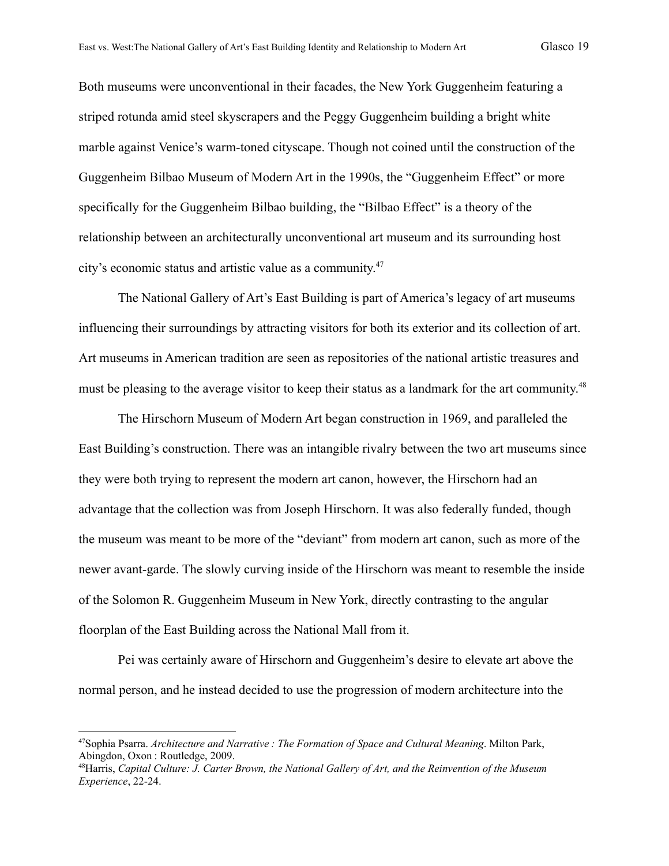Both museums were unconventional in their facades, the New York Guggenheim featuring a striped rotunda amid steel skyscrapers and the Peggy Guggenheim building a bright white marble against Venice's warm-toned cityscape. Though not coined until the construction of the Guggenheim Bilbao Museum of Modern Art in the 1990s, the "Guggenheim Effect" or more specifically for the Guggenheim Bilbao building, the "Bilbao Effect" is a theory of the relationship between an architecturally unconventional art museum and its surrounding host city's economic status and artistic value as a community. 47

The National Gallery of Art's East Building is part of America's legacy of art museums influencing their surroundings by attracting visitors for both its exterior and its collection of art. Art museums in American tradition are seen as repositories of the national artistic treasures and must be pleasing to the average visitor to keep their status as a landmark for the art community.<sup>48</sup>

The Hirschorn Museum of Modern Art began construction in 1969, and paralleled the East Building's construction. There was an intangible rivalry between the two art museums since they were both trying to represent the modern art canon, however, the Hirschorn had an advantage that the collection was from Joseph Hirschorn. It was also federally funded, though the museum was meant to be more of the "deviant" from modern art canon, such as more of the newer avant-garde. The slowly curving inside of the Hirschorn was meant to resemble the inside of the Solomon R. Guggenheim Museum in New York, directly contrasting to the angular floorplan of the East Building across the National Mall from it.

Pei was certainly aware of Hirschorn and Guggenheim's desire to elevate art above the normal person, and he instead decided to use the progression of modern architecture into the

<sup>47</sup>Sophia Psarra. *Architecture and Narrative : The Formation of Space and Cultural Meaning*. Milton Park, Abingdon, Oxon : Routledge, 2009.

<sup>48</sup>Harris, *Capital Culture: J. Carter Brown, the National Gallery of Art, and the Reinvention of the Museum Experience*, 22-24.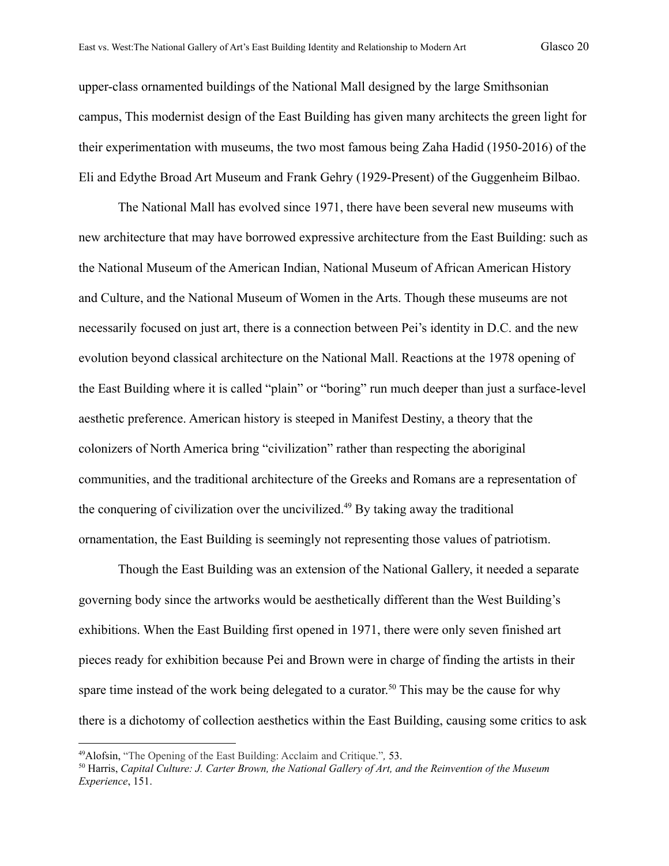upper-class ornamented buildings of the National Mall designed by the large Smithsonian campus, This modernist design of the East Building has given many architects the green light for their experimentation with museums, the two most famous being Zaha Hadid (1950-2016) of the Eli and Edythe Broad Art Museum and Frank Gehry (1929-Present) of the Guggenheim Bilbao.

The National Mall has evolved since 1971, there have been several new museums with new architecture that may have borrowed expressive architecture from the East Building: such as the National Museum of the American Indian, National Museum of African American History and Culture, and the National Museum of Women in the Arts. Though these museums are not necessarily focused on just art, there is a connection between Pei's identity in D.C. and the new evolution beyond classical architecture on the National Mall. Reactions at the 1978 opening of the East Building where it is called "plain" or "boring" run much deeper than just a surface-level aesthetic preference. American history is steeped in Manifest Destiny, a theory that the colonizers of North America bring "civilization" rather than respecting the aboriginal communities, and the traditional architecture of the Greeks and Romans are a representation of the conquering of civilization over the uncivilized.<sup>49</sup> By taking away the traditional ornamentation, the East Building is seemingly not representing those values of patriotism.

Though the East Building was an extension of the National Gallery, it needed a separate governing body since the artworks would be aesthetically different than the West Building's exhibitions. When the East Building first opened in 1971, there were only seven finished art pieces ready for exhibition because Pei and Brown were in charge of finding the artists in their spare time instead of the work being delegated to a curator.<sup>50</sup> This may be the cause for why there is a dichotomy of collection aesthetics within the East Building, causing some critics to ask

<sup>49</sup>Alofsin, "The Opening of the East Building: Acclaim and Critique."*,* 53.

<sup>50</sup> Harris, *Capital Culture: J. Carter Brown, the National Gallery of Art, and the Reinvention of the Museum Experience*, 151.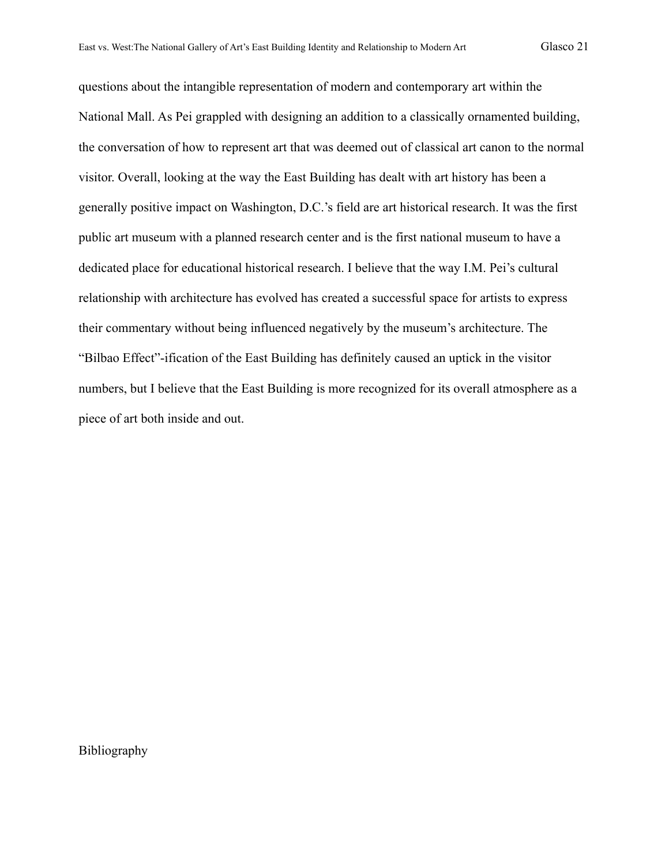questions about the intangible representation of modern and contemporary art within the National Mall. As Pei grappled with designing an addition to a classically ornamented building, the conversation of how to represent art that was deemed out of classical art canon to the normal visitor. Overall, looking at the way the East Building has dealt with art history has been a generally positive impact on Washington, D.C.'s field are art historical research. It was the first public art museum with a planned research center and is the first national museum to have a dedicated place for educational historical research. I believe that the way I.M. Pei's cultural relationship with architecture has evolved has created a successful space for artists to express their commentary without being influenced negatively by the museum's architecture. The "Bilbao Effect"-ification of the East Building has definitely caused an uptick in the visitor numbers, but I believe that the East Building is more recognized for its overall atmosphere as a piece of art both inside and out.

Bibliography